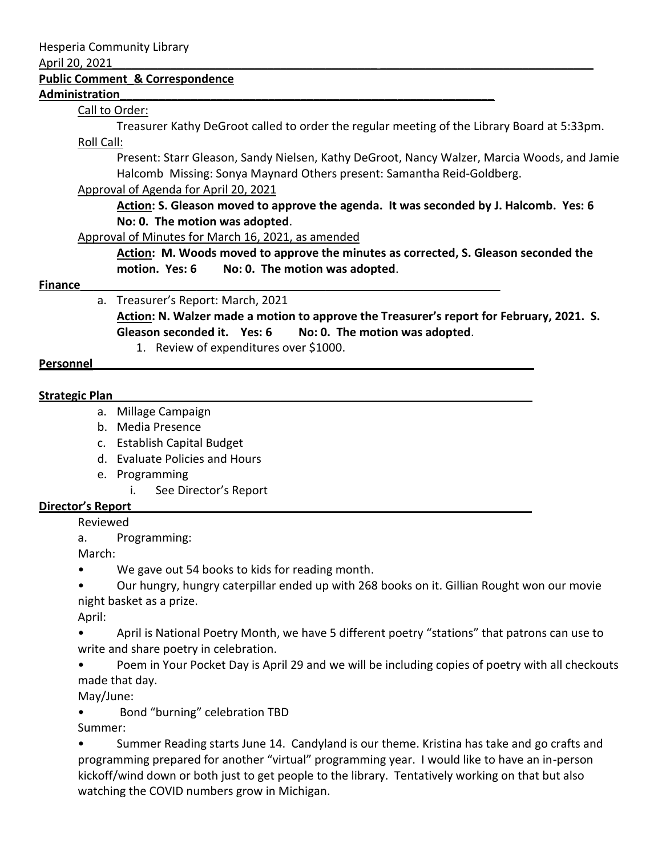#### April 20, 2021\_\_\_\_\_\_\_\_\_\_\_\_\_\_\_\_\_\_\_\_\_\_\_\_\_\_\_\_\_\_\_\_\_\_\_\_\_\_\_\_\_ \_\_\_\_\_\_\_\_\_\_\_\_\_\_\_\_\_\_\_\_\_\_\_\_\_\_\_\_\_\_\_\_\_

### **Public Comment\_& Correspondence**

### **Administration\_\_\_\_\_\_\_\_\_\_\_\_\_\_\_\_\_\_\_\_\_\_\_\_\_\_\_\_\_\_\_\_\_\_\_\_\_\_\_\_\_\_\_\_\_\_\_\_\_\_\_\_\_\_\_\_\_\_**

## Call to Order:

Treasurer Kathy DeGroot called to order the regular meeting of the Library Board at 5:33pm. Roll Call:

Present: Starr Gleason, Sandy Nielsen, Kathy DeGroot, Nancy Walzer, Marcia Woods, and Jamie Halcomb Missing: Sonya Maynard Others present: Samantha Reid-Goldberg.

# Approval of Agenda for April 20, 2021

**Action: S. Gleason moved to approve the agenda. It was seconded by J. Halcomb. Yes: 6 No: 0. The motion was adopted**.

### Approval of Minutes for March 16, 2021, as amended

**Action: M. Woods moved to approve the minutes as corrected, S. Gleason seconded the motion. Yes: 6 No: 0. The motion was adopted**.

### **Finance\_\_\_\_\_\_\_\_\_\_\_\_\_\_\_\_\_\_\_\_\_\_\_\_\_\_\_\_\_\_\_\_\_\_\_\_\_\_\_\_\_\_\_\_\_\_\_\_\_\_\_\_\_\_\_\_\_\_\_\_\_\_\_\_\_**

## a. Treasurer's Report: March, 2021

**Action: N. Walzer made a motion to approve the Treasurer's report for February, 2021. S. Gleason seconded it. Yes: 6 No: 0. The motion was adopted**.

1. Review of expenditures over \$1000.

## **Personnel**

## **Strategic Plan\_\_\_\_\_\_\_\_\_\_\_\_\_\_\_\_\_\_\_\_\_\_\_\_\_\_\_\_\_\_\_\_\_\_\_\_\_\_\_\_\_\_\_\_\_\_\_\_\_\_\_\_\_\_\_\_\_\_\_\_\_\_\_\_\_**

- a. Millage Campaign
- b. Media Presence
- c. Establish Capital Budget
- d. Evaluate Policies and Hours
- e. Programming
	- i. See Director's Report

# **Director's Report\_\_\_\_\_\_\_\_\_\_\_\_\_\_\_\_\_\_\_\_\_\_\_\_\_\_\_\_\_\_\_\_\_\_\_\_\_\_\_\_\_\_\_\_\_\_\_\_\_\_\_\_\_\_\_\_\_\_\_\_\_\_**

Reviewed

a. Programming:

March:

- We gave out 54 books to kids for reading month.
- Our hungry, hungry caterpillar ended up with 268 books on it. Gillian Rought won our movie night basket as a prize.

April:

• April is National Poetry Month, we have 5 different poetry "stations" that patrons can use to write and share poetry in celebration.

• Poem in Your Pocket Day is April 29 and we will be including copies of poetry with all checkouts made that day.

May/June:

• Bond "burning" celebration TBD

Summer:

• Summer Reading starts June 14. Candyland is our theme. Kristina has take and go crafts and programming prepared for another "virtual" programming year. I would like to have an in-person kickoff/wind down or both just to get people to the library. Tentatively working on that but also watching the COVID numbers grow in Michigan.